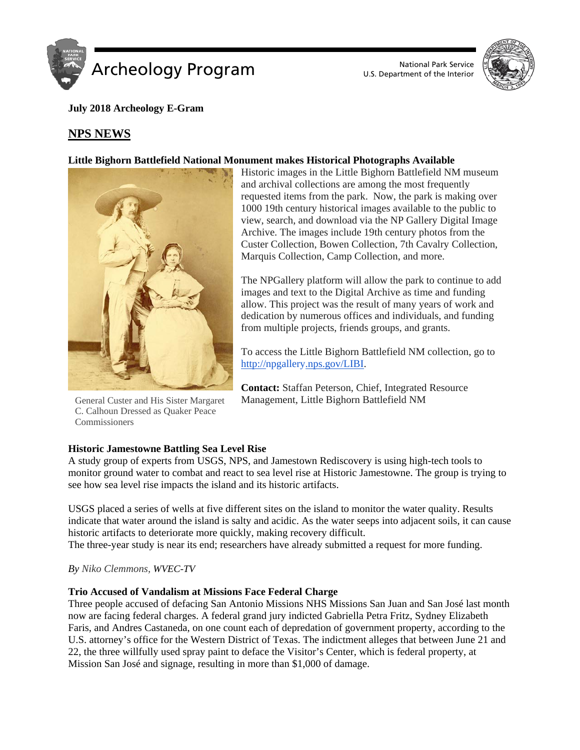

U.S. Department of the Interior



**July 2018 Archeology E-Gram**

## **NPS NEWS**

#### **Little Bighorn Battlefield National Monument makes Historical Photographs Available**



General Custer and His Sister Margaret C. Calhoun Dressed as Quaker Peace **Commissioners** 

Historic images in the Little Bighorn Battlefield NM museum and archival collections are among the most frequently requested items from the park. Now, the park is making over 1000 19th century historical images available to the public to view, search, and download via the NP Gallery Digital Image Archive. The images include 19th century photos from the Custer Collection, Bowen Collection, 7th Cavalry Collection, Marquis Collection, Camp Collection, and more.

The NPGallery platform will allow the park to continue to add images and text to the Digital Archive as time and funding allow. This project was the result of many years of work and dedication by numerous offices and individuals, and funding from multiple projects, friends groups, and grants.

To access the Little Bighorn Battlefield NM collection, go to [http://npgallery.nps.gov/LIBI.](http://npgallery.nps.gov/LIBI)

**Contact:** Staffan Peterson, Chief, Integrated Resource Management, Little Bighorn Battlefield NM

#### **Historic Jamestowne Battling Sea Level Rise**

A study group of experts from USGS, NPS, and Jamestown Rediscovery is using high-tech tools to monitor ground water to combat and react to sea level rise at Historic Jamestowne. The group is trying to see how sea level rise impacts the island and its historic artifacts.

USGS placed a series of wells at five different sites on the island to monitor the water quality. Results indicate that water around the island is salty and acidic. As the water seeps into adjacent soils, it can cause historic artifacts to deteriorate more quickly, making recovery difficult.

The three-year study is near its end; researchers have already submitted a request for more funding.

#### *By Niko Clemmons, WVEC-TV*

### **Trio Accused of Vandalism at Missions Face Federal Charge**

Three people accused of defacing San Antonio Missions NHS Missions San Juan and San José last month now are facing federal charges. A federal grand jury indicted Gabriella Petra Fritz, Sydney Elizabeth Faris, and Andres Castaneda, on one count each of depredation of government property, according to the U.S. attorney's office for the Western District of Texas. The indictment alleges that between June 21 and 22, the three willfully used spray paint to deface the Visitor's Center, which is federal property, at Mission San José and signage, resulting in more than \$1,000 of damage.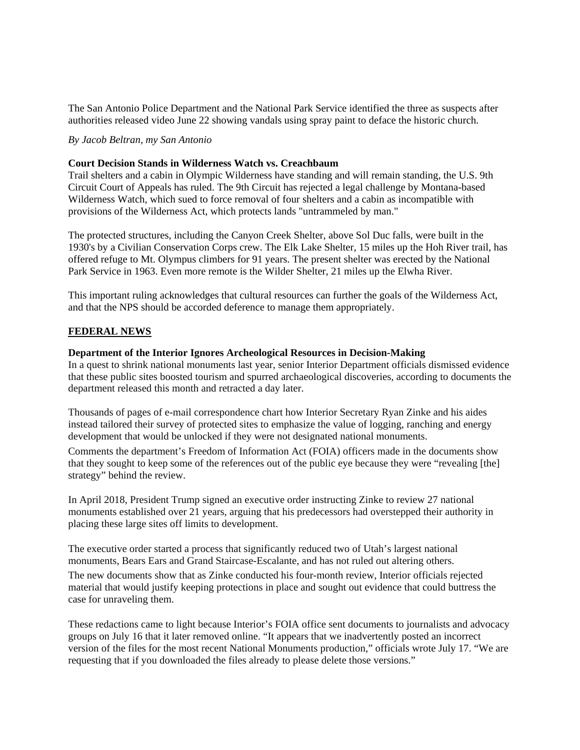The San Antonio Police Department and the National Park Service identified the three as suspects after authorities released video June 22 showing vandals using spray paint to deface the historic church.

*By Jacob Beltran, my San Antonio*

#### **Court Decision Stands in Wilderness Watch vs. Creachbaum**

Trail shelters and a cabin in Olympic Wilderness have standing and will remain standing, the U.S. 9th Circuit Court of Appeals has ruled. The 9th Circuit has rejected a legal challenge by Montana-based Wilderness Watch, which sued to force removal of four shelters and a cabin as incompatible with provisions of the Wilderness Act, which protects lands "untrammeled by man."

The protected structures, including the Canyon Creek Shelter, above Sol Duc falls, were built in the 1930's by a Civilian Conservation Corps crew. The Elk Lake Shelter, 15 miles up the Hoh River trail, has offered refuge to Mt. Olympus climbers for 91 years. The present shelter was erected by the National Park Service in 1963. Even more remote is the Wilder Shelter, 21 miles up the Elwha River.

This important ruling acknowledges that cultural resources can further the goals of the Wilderness Act, and that the NPS should be accorded deference to manage them appropriately.

#### **FEDERAL NEWS**

#### **Department of the Interior Ignores Archeological Resources in Decision-Making**

In a quest to shrink national monuments last year, senior Interior Department officials dismissed evidence that these public sites boosted tourism and spurred archaeological discoveries, according to documents the department released this month and retracted a day later.

Thousands of pages of e-mail correspondence chart how Interior Secretary Ryan Zinke and his aides instead tailored their survey of protected sites to emphasize the value of logging, ranching and energy development that would be unlocked if they were not designated national monuments.

Comments the department's Freedom of Information Act (FOIA) officers made in the documents show that they sought to keep some of the references out of the public eye because they were "revealing [the] strategy" behind the review.

In April 2018, President Trump signed an executive order instructing Zinke to review 27 national monuments established over 21 years, arguing that his predecessors had overstepped their authority in placing these large sites off limits to development.

The executive order started a process that significantly reduced two of Utah's largest national monuments, Bears Ears and Grand Staircase-Escalante, and has not ruled out altering others.

The new documents show that as Zinke conducted his four-month review, Interior officials rejected material that would justify keeping protections in place and sought out evidence that could buttress the case for unraveling them.

These redactions came to light because Interior's FOIA office sent documents to journalists and advocacy groups on July 16 that it later removed online. "It appears that we inadvertently posted an incorrect version of the files for the most recent National Monuments production," officials wrote July 17. "We are requesting that if you downloaded the files already to please delete those versions."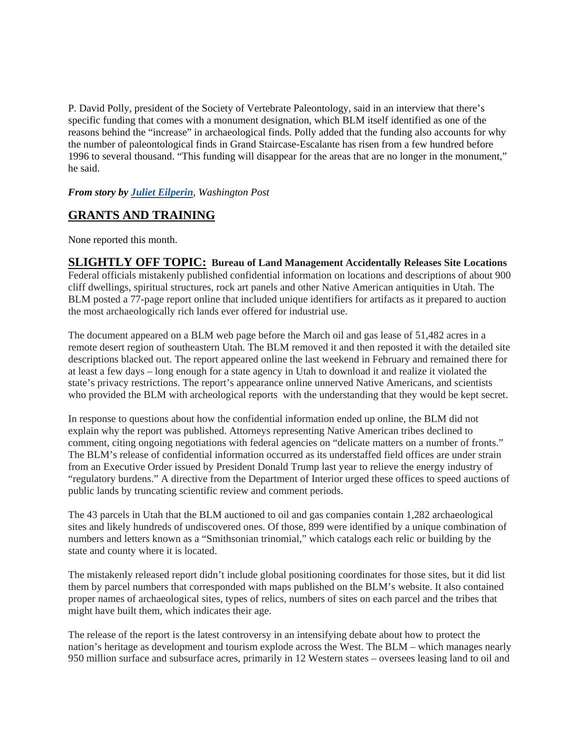P. David Polly, president of the Society of Vertebrate Paleontology, said in an interview that there's specific funding that comes with a monument designation, which BLM itself identified as one of the reasons behind the "increase" in archaeological finds. Polly added that the funding also accounts for why the number of paleontological finds in Grand Staircase-Escalante has risen from a few hundred before 1996 to several thousand. "This funding will disappear for the areas that are no longer in the monument," he said.

*From story by Juliet [Eilperin](https://www.washingtonpost.com/people/juliet-eilperin/), Washington Post*

# **GRANTS AND TRAINING**

None reported this month.

**SLIGHTLY OFF TOPIC: Bureau of Land Management Accidentally Releases Site Locations** Federal officials mistakenly published confidential information on locations and descriptions of about 900 cliff dwellings, spiritual structures, rock art panels and other Native American antiquities in Utah. The BLM posted a 77-page report online that included unique identifiers for artifacts as it prepared to auction the most archaeologically rich lands ever offered for industrial use.

The document appeared on a BLM web page before the March oil and gas lease of 51,482 acres in a remote desert region of southeastern Utah. The BLM removed it and then reposted it with the detailed site descriptions blacked out. The report appeared online the last weekend in February and remained there for at least a few days – long enough for a state agency in Utah to download it and realize it violated the state's privacy restrictions. The report's appearance online unnerved Native Americans, and scientists who provided the BLM with archeological reports with the understanding that they would be kept secret.

In response to questions about how the confidential information ended up online, the BLM did not explain why the report was published. Attorneys representing Native American tribes declined to comment, citing ongoing negotiations with federal agencies on "delicate matters on a number of fronts." The BLM's release of confidential information occurred as its understaffed field offices are under strain from an Executive Order issued by President Donald Trump last year to relieve the energy industry of "regulatory burdens." A directive from the Department of Interior urged these offices to speed auctions of public lands by truncating scientific review and comment periods.

The 43 parcels in Utah that the BLM auctioned to oil and gas companies contain 1,282 archaeological sites and likely hundreds of undiscovered ones. Of those, 899 were identified by a unique combination of numbers and letters known as a "Smithsonian trinomial," which catalogs each relic or building by the state and county where it is located.

The mistakenly released report didn't include global positioning coordinates for those sites, but it did list them by parcel numbers that corresponded with maps published on the BLM's website. It also contained proper names of archaeological sites, types of relics, numbers of sites on each parcel and the tribes that might have built them, which indicates their age.

The release of the report is the latest controversy in an intensifying debate about how to protect the nation's heritage as development and tourism explode across the West. The BLM – which manages nearly 950 million surface and subsurface acres, primarily in 12 Western states – oversees leasing land to oil and